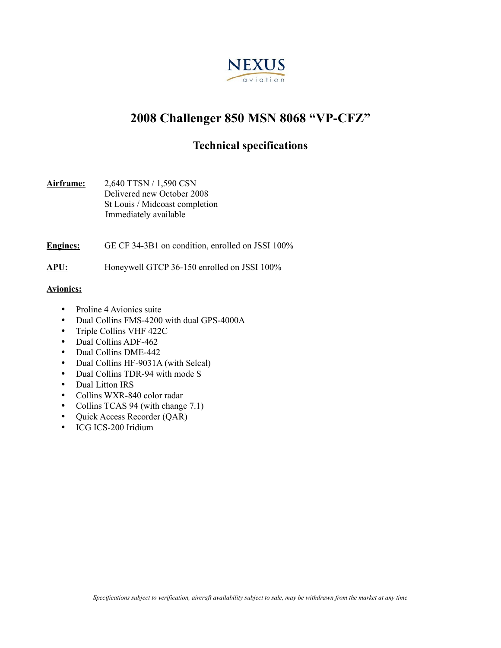

# **2008 Challenger 850 MSN 8068 "VP-CFZ"**

## **Technical specifications**

**Airframe:** 2,640 TTSN / 1,590 CSN Delivered new October 2008 St Louis / Midcoast completion Immediately available

**Engines:** GE CF 34-3B1 on condition, enrolled on JSSI 100%

**APU:** Honeywell GTCP 36-150 enrolled on JSSI 100%

### **Avionics:**

- Proline 4 Avionics suite
- Dual Collins FMS-4200 with dual GPS-4000A
- Triple Collins VHF 422C
- Dual Collins ADF-462
- Dual Collins DME-442
- Dual Collins HF-9031A (with Selcal)
- Dual Collins TDR-94 with mode S
- Dual Litton IRS
- Collins WXR-840 color radar
- Collins TCAS 94 (with change 7.1)
- Quick Access Recorder (QAR)
- ICG ICS-200 Iridium